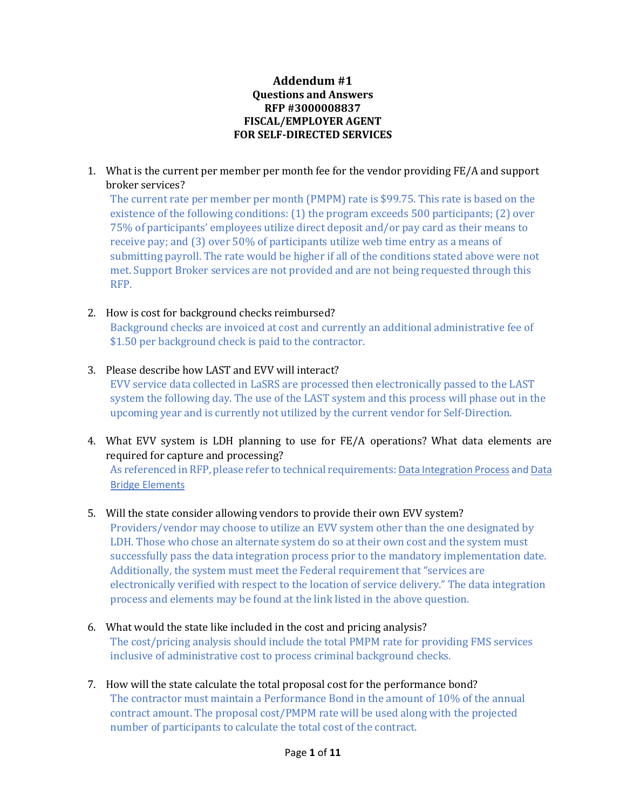#### **Addendum #1 Questions and Answers RFP #3000008837 FISCAL/EMPLOYER AGENT FOR SELF-DIRECTED SERVICES**

1. What is the current per member per month fee for the vendor providing FE/A and support broker services?

The current rate per member per month (PMPM) rate is \$99.75. This rate is based on the existence of the following conditions: (1) the program exceeds 500 participants; (2) over 75% of participants' employees utilize direct deposit and/or pay card as their means to receive pay; and (3) over 50% of participants utilize web time entry as a means of submitting payroll. The rate would be higher if all of the conditions stated above were not met. Support Broker services are not provided and are not being requested through this RFP.

### 2. How is cost for background checks reimbursed?

Background checks are invoiced at cost and currently an additional administrative fee of \$1.50 per background check is paid to the contractor.

3. Please describe how LAST and EVV will interact?

EVV service data collected in LaSRS are processed then electronically passed to the LAST system the following day. The use of the LAST system and this process will phase out in the upcoming year and is currently not utilized by the current vendor for Self-Direction.

4. What EVV system is LDH planning to use for FE/A operations? What data elements are required for capture and processing?

As referenced in RFP, please refer to technical requirements: [Data Integration Process](http://www.dhh.louisiana.gov/assets/medicaid/EVV/170213DataIntegrationProcess.pdf) an[d Data](http://www.dhh.louisiana.gov/assets/medicaid/EVV/PROTECTED170213EVVBridgeDataElements.xlsx)  [Bridge Elements](http://www.dhh.louisiana.gov/assets/medicaid/EVV/PROTECTED170213EVVBridgeDataElements.xlsx)

#### 5. Will the state consider allowing vendors to provide their own EVV system?

Providers/vendor may choose to utilize an EVV system other than the one designated by LDH. Those who chose an alternate system do so at their own cost and the system must successfully pass the data integration process prior to the mandatory implementation date. Additionally, the system must meet the Federal requirement that "services are electronically verified with respect to the location of service delivery." The data integration process and elements may be found at the link listed in the above question.

- 6. What would the state like included in the cost and pricing analysis? The cost/pricing analysis should include the total PMPM rate for providing FMS services inclusive of administrative cost to process criminal background checks.
- 7. How will the state calculate the total proposal cost for the performance bond? The contractor must maintain a Performance Bond in the amount of 10% of the annual contract amount. The proposal cost/PMPM rate will be used along with the projected number of participants to calculate the total cost of the contract.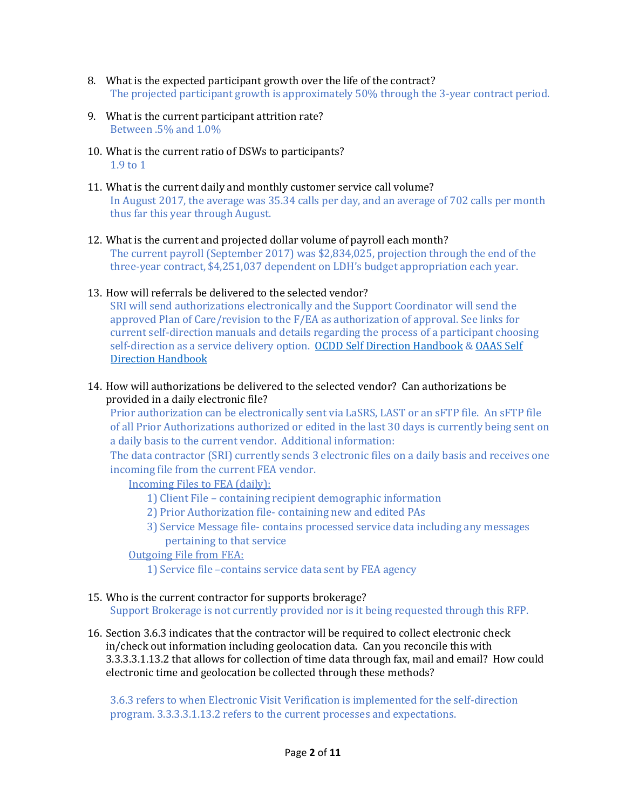- 8. What is the expected participant growth over the life of the contract? The projected participant growth is approximately 50% through the 3-year contract period.
- 9. What is the current participant attrition rate? Between .5% and 1.0%
- 10. What is the current ratio of DSWs to participants? 1.9 to 1
- 11. What is the current daily and monthly customer service call volume? In August 2017, the average was 35.34 calls per day, and an average of 702 calls per month thus far this year through August.
- 12. What is the current and projected dollar volume of payroll each month? The current payroll (September 2017) was \$2,834,025, projection through the end of the three-year contract, \$4,251,037 dependent on LDH's budget appropriation each year.
- 13. How will referrals be delivered to the selected vendor?

SRI will send authorizations electronically and the Support Coordinator will send the approved Plan of Care/revision to the F/EA as authorization of approval. See links for current self-direction manuals and details regarding the process of a participant choosing self-direction as a service delivery option. [OCDD Self Direction Handbook](http://www.dhh.louisiana.gov/assets/docs/OCDD/waiver/LAOCDDSelfDirectionHandbook070117.pdf) [& OAAS Self](http://www.ldh.la.gov/assets/docs/OAAS/Manuals/Self-Direction-Manual.pdf)  [Direction Handbook](http://www.ldh.la.gov/assets/docs/OAAS/Manuals/Self-Direction-Manual.pdf)

14. How will authorizations be delivered to the selected vendor? Can authorizations be provided in a daily electronic file?

Prior authorization can be electronically sent via LaSRS, LAST or an sFTP file. An sFTP file of all Prior Authorizations authorized or edited in the last 30 days is currently being sent on a daily basis to the current vendor. Additional information:

The data contractor (SRI) currently sends 3 electronic files on a daily basis and receives one incoming file from the current FEA vendor.

Incoming Files to FEA (daily):

- 1) Client File containing recipient demographic information
- 2) Prior Authorization file- containing new and edited PAs
- 3) Service Message file- contains processed service data including any messages pertaining to that service

#### Outgoing File from FEA:

- 1) Service file –contains service data sent by FEA agency
- 15. Who is the current contractor for supports brokerage? Support Brokerage is not currently provided nor is it being requested through this RFP.
- 16. Section 3.6.3 indicates that the contractor will be required to collect electronic check in/check out information including geolocation data. Can you reconcile this with 3.3.3.3.1.13.2 that allows for collection of time data through fax, mail and email? How could electronic time and geolocation be collected through these methods?

3.6.3 refers to when Electronic Visit Verification is implemented for the self-direction program. 3.3.3.3.1.13.2 refers to the current processes and expectations.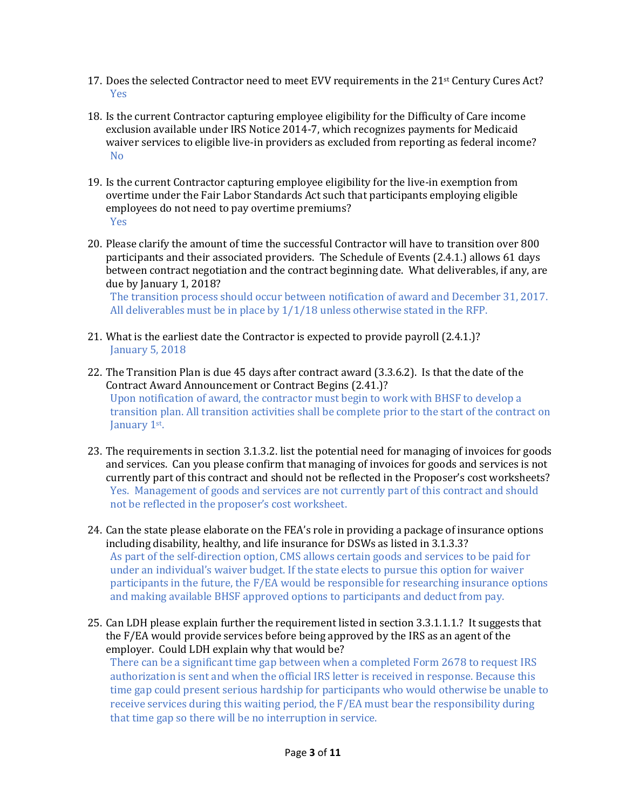- 17. Does the selected Contractor need to meet EVV requirements in the 21st Century Cures Act? Yes
- 18. Is the current Contractor capturing employee eligibility for the Difficulty of Care income exclusion available under IRS Notice 2014-7, which recognizes payments for Medicaid waiver services to eligible live-in providers as excluded from reporting as federal income? No
- 19. Is the current Contractor capturing employee eligibility for the live-in exemption from overtime under the Fair Labor Standards Act such that participants employing eligible employees do not need to pay overtime premiums? Yes
- 20. Please clarify the amount of time the successful Contractor will have to transition over 800 participants and their associated providers. The Schedule of Events (2.4.1.) allows 61 days between contract negotiation and the contract beginning date. What deliverables, if any, are due by January 1, 2018?

The transition process should occur between notification of award and December 31, 2017. All deliverables must be in place by 1/1/18 unless otherwise stated in the RFP.

- 21. What is the earliest date the Contractor is expected to provide payroll (2.4.1.)? January 5, 2018
- 22. The Transition Plan is due 45 days after contract award (3.3.6.2). Is that the date of the Contract Award Announcement or Contract Begins (2.41.)? Upon notification of award, the contractor must begin to work with BHSF to develop a transition plan. All transition activities shall be complete prior to the start of the contract on January 1<sup>st</sup>.
- 23. The requirements in section 3.1.3.2. list the potential need for managing of invoices for goods and services. Can you please confirm that managing of invoices for goods and services is not currently part of this contract and should not be reflected in the Proposer's cost worksheets? Yes. Management of goods and services are not currently part of this contract and should not be reflected in the proposer's cost worksheet.
- 24. Can the state please elaborate on the FEA's role in providing a package of insurance options including disability, healthy, and life insurance for DSWs as listed in 3.1.3.3? As part of the self-direction option, CMS allows certain goods and services to be paid for under an individual's waiver budget. If the state elects to pursue this option for waiver participants in the future, the F/EA would be responsible for researching insurance options and making available BHSF approved options to participants and deduct from pay.
- 25. Can LDH please explain further the requirement listed in section 3.3.1.1.1.? It suggests that the F/EA would provide services before being approved by the IRS as an agent of the employer. Could LDH explain why that would be?

There can be a significant time gap between when a completed Form 2678 to request IRS authorization is sent and when the official IRS letter is received in response. Because this time gap could present serious hardship for participants who would otherwise be unable to receive services during this waiting period, the F/EA must bear the responsibility during that time gap so there will be no interruption in service.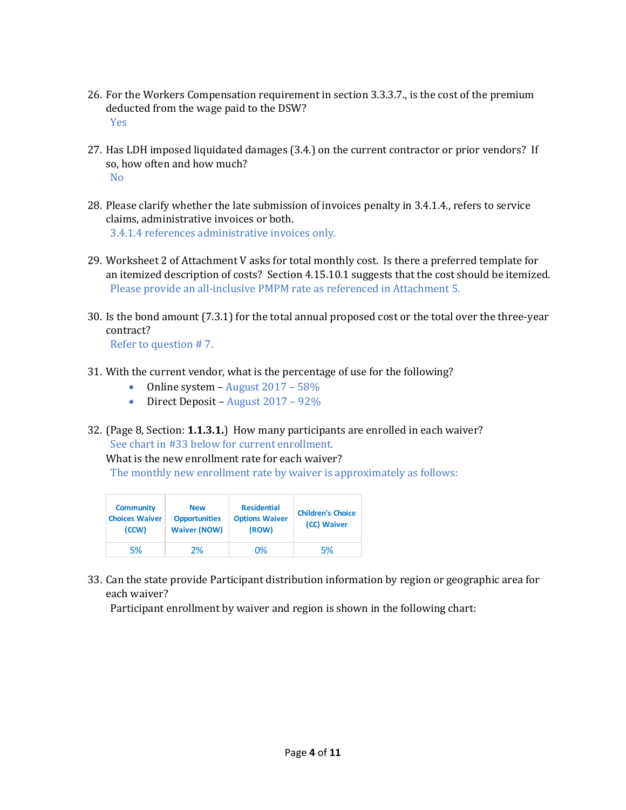- 26. For the Workers Compensation requirement in section 3.3.3.7., is the cost of the premium deducted from the wage paid to the DSW? Yes
- 27. Has LDH imposed liquidated damages (3.4.) on the current contractor or prior vendors? If so, how often and how much? No
- 28. Please clarify whether the late submission of invoices penalty in 3.4.1.4., refers to service claims, administrative invoices or both. 3.4.1.4 references administrative invoices only.
- 29. Worksheet 2 of Attachment V asks for total monthly cost. Is there a preferred template for an itemized description of costs? Section 4.15.10.1 suggests that the cost should be itemized. Please provide an all-inclusive PMPM rate as referenced in Attachment 5.
- 30. Is the bond amount (7.3.1) for the total annual proposed cost or the total over the three-year contract?

Refer to question # 7.

- 31. With the current vendor, what is the percentage of use for the following?
	- Online system August 2017 58%
	- Direct Deposit August  $2017 92\%$
- 32. (Page 8, Section: **1.1.3.1.**) How many participants are enrolled in each waiver? See chart in #33 below for current enrollment.

What is the new enrollment rate for each waiver?

The monthly new enrollment rate by waiver is approximately as follows:

| <b>Community</b><br><b>Choices Waiver</b><br>(CCW) | <b>New</b><br><b>Opportunities</b><br><b>Waiver (NOW)</b> | <b>Residential</b><br><b>Options Waiver</b><br>(ROW) | <b>Children's Choice</b><br>(CC) Waiver |
|----------------------------------------------------|-----------------------------------------------------------|------------------------------------------------------|-----------------------------------------|
| 5%                                                 | 2%                                                        | 0%                                                   | 5%                                      |

33. Can the state provide Participant distribution information by region or geographic area for each waiver?

Participant enrollment by waiver and region is shown in the following chart: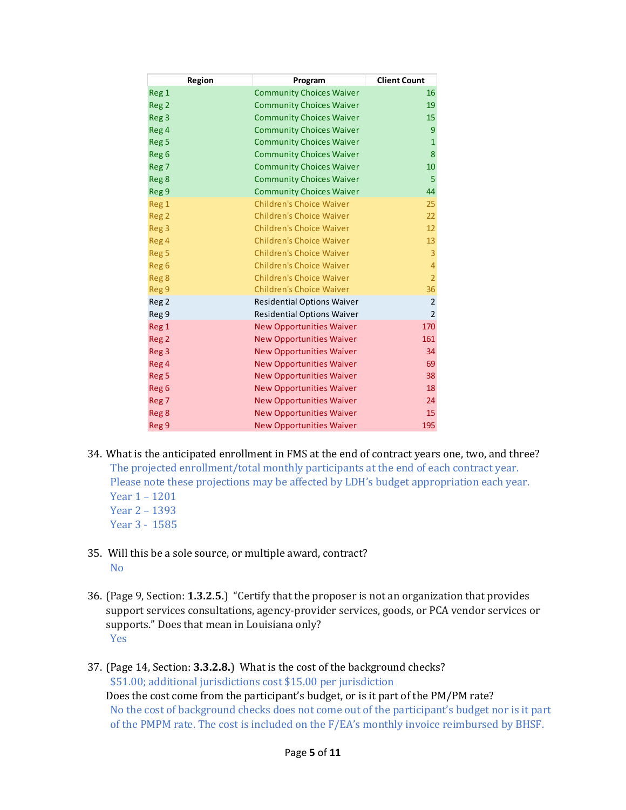| Region           | Program                           | <b>Client Count</b> |
|------------------|-----------------------------------|---------------------|
| Reg <sub>1</sub> | <b>Community Choices Waiver</b>   | 16                  |
| Reg <sub>2</sub> | <b>Community Choices Waiver</b>   | 19                  |
| Reg <sub>3</sub> | <b>Community Choices Waiver</b>   | 15                  |
| Reg 4            | <b>Community Choices Waiver</b>   | 9                   |
| Reg <sub>5</sub> | <b>Community Choices Waiver</b>   | $\mathbf{1}$        |
| Reg <sub>6</sub> | <b>Community Choices Waiver</b>   | 8                   |
| Reg <sub>7</sub> | <b>Community Choices Waiver</b>   | 10                  |
| Reg <sub>8</sub> | <b>Community Choices Waiver</b>   | 5                   |
| Reg 9            | <b>Community Choices Waiver</b>   | 44                  |
| Reg 1            | <b>Children's Choice Waiver</b>   | 25                  |
| Reg <sub>2</sub> | <b>Children's Choice Waiver</b>   | 22                  |
| Reg <sub>3</sub> | <b>Children's Choice Waiver</b>   | 12                  |
| Reg 4            | <b>Children's Choice Waiver</b>   | 13                  |
| Reg <sub>5</sub> | <b>Children's Choice Waiver</b>   | 3                   |
| Reg <sub>6</sub> | <b>Children's Choice Waiver</b>   | $\overline{4}$      |
| Reg <sub>8</sub> | <b>Children's Choice Waiver</b>   | $\overline{2}$      |
| Reg 9            | <b>Children's Choice Waiver</b>   | 36                  |
| Reg <sub>2</sub> | <b>Residential Options Waiver</b> | $\overline{2}$      |
| Reg 9            | <b>Residential Options Waiver</b> | $\overline{2}$      |
| Reg 1            | <b>New Opportunities Waiver</b>   | 170                 |
| Reg <sub>2</sub> | <b>New Opportunities Waiver</b>   | 161                 |
| Reg <sub>3</sub> | <b>New Opportunities Waiver</b>   | 34                  |
| Reg 4            | <b>New Opportunities Waiver</b>   | 69                  |
| Reg <sub>5</sub> | <b>New Opportunities Waiver</b>   | 38                  |
| Reg <sub>6</sub> | <b>New Opportunities Waiver</b>   | 18                  |
| Reg <sub>7</sub> | <b>New Opportunities Waiver</b>   | 24                  |
| Reg <sub>8</sub> | <b>New Opportunities Waiver</b>   | 15                  |
| Reg 9            | <b>New Opportunities Waiver</b>   | 195                 |

- 34. What is the anticipated enrollment in FMS at the end of contract years one, two, and three? The projected enrollment/total monthly participants at the end of each contract year. Please note these projections may be affected by LDH's budget appropriation each year. Year 1 – 1201 Year 2 – 1393
	- Year 3 1585
- 35. Will this be a sole source, or multiple award, contract? No
- 36. (Page 9, Section: **1.3.2.5.**) "Certify that the proposer is not an organization that provides support services consultations, agency-provider services, goods, or PCA vendor services or supports." Does that mean in Louisiana only? Yes
- 37. (Page 14, Section: **3.3.2.8.**) What is the cost of the background checks? \$51.00; additional jurisdictions cost \$15.00 per jurisdiction Does the cost come from the participant's budget, or is it part of the PM/PM rate? No the cost of background checks does not come out of the participant's budget nor is it part of the PMPM rate. The cost is included on the F/EA's monthly invoice reimbursed by BHSF.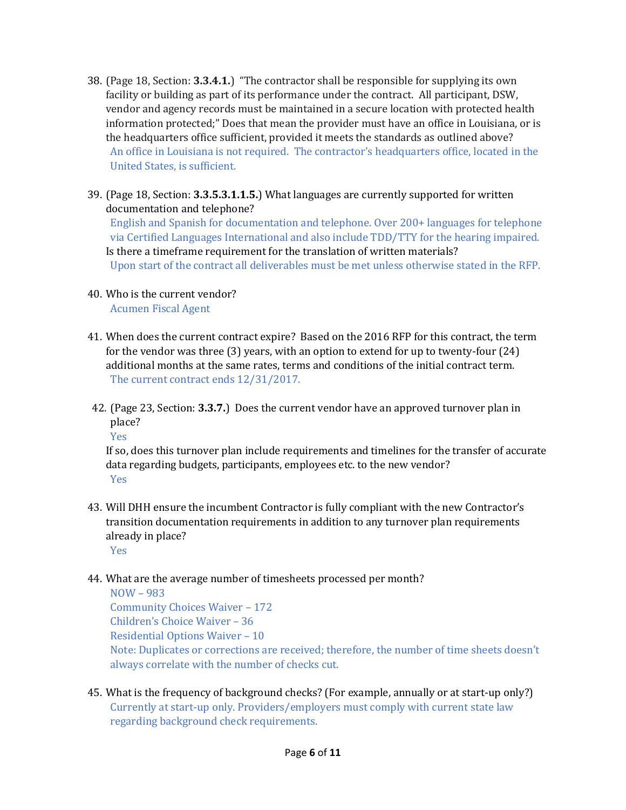- 38. (Page 18, Section: **3.3.4.1.**) "The contractor shall be responsible for supplying its own facility or building as part of its performance under the contract. All participant, DSW, vendor and agency records must be maintained in a secure location with protected health information protected;" Does that mean the provider must have an office in Louisiana, or is the headquarters office sufficient, provided it meets the standards as outlined above? An office in Louisiana is not required. The contractor's headquarters office, located in the United States, is sufficient.
- 39. (Page 18, Section: **3.3.5.3.1.1.5.**) What languages are currently supported for written documentation and telephone? English and Spanish for documentation and telephone. Over 200+ languages for telephone via Certified Languages International and also include TDD/TTY for the hearing impaired.

Is there a timeframe requirement for the translation of written materials? Upon start of the contract all deliverables must be met unless otherwise stated in the RFP.

# 40. Who is the current vendor?

Acumen Fiscal Agent

- 41. When does the current contract expire? Based on the 2016 RFP for this contract, the term for the vendor was three (3) years, with an option to extend for up to twenty-four (24) additional months at the same rates, terms and conditions of the initial contract term. The current contract ends 12/31/2017.
- 42. (Page 23, Section: **3.3.7.**) Does the current vendor have an approved turnover plan in place?

Yes

If so, does this turnover plan include requirements and timelines for the transfer of accurate data regarding budgets, participants, employees etc. to the new vendor? Yes

43. Will DHH ensure the incumbent Contractor is fully compliant with the new Contractor's transition documentation requirements in addition to any turnover plan requirements already in place?

### Yes

## 44. What are the average number of timesheets processed per month?

NOW – 983 Community Choices Waiver – 172 Children's Choice Waiver – 36 Residential Options Waiver – 10 Note: Duplicates or corrections are received; therefore, the number of time sheets doesn't always correlate with the number of checks cut.

45. What is the frequency of background checks? (For example, annually or at start-up only?) Currently at start-up only. Providers/employers must comply with current state law regarding background check requirements.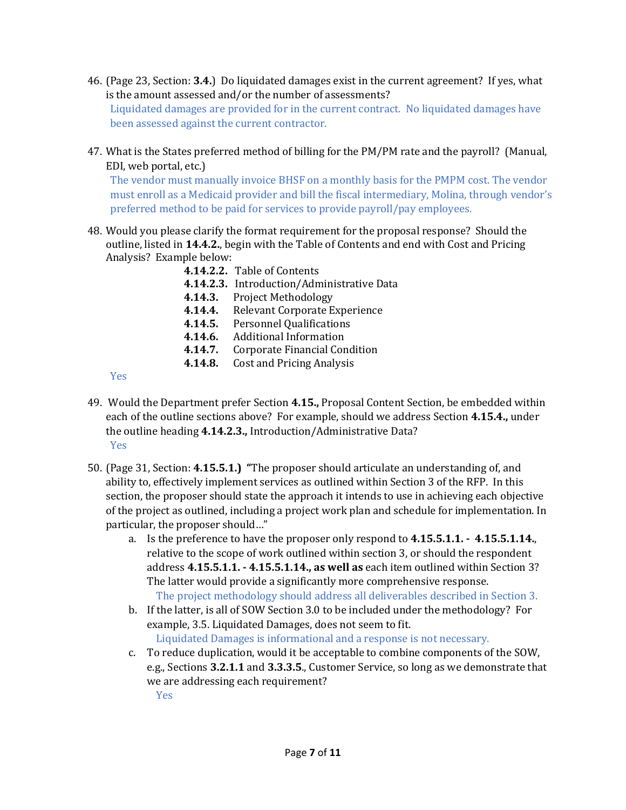- 46. (Page 23, Section: **3.4.**) Do liquidated damages exist in the current agreement? If yes, what is the amount assessed and/or the number of assessments? Liquidated damages are provided for in the current contract. No liquidated damages have been assessed against the current contractor.
- 47. What is the States preferred method of billing for the PM/PM rate and the payroll? (Manual, EDI, web portal, etc.)

The vendor must manually invoice BHSF on a monthly basis for the PMPM cost. The vendor must enroll as a Medicaid provider and bill the fiscal intermediary, Molina, through vendor's preferred method to be paid for services to provide payroll/pay employees.

- 48. Would you please clarify the format requirement for the proposal response? Should the outline, listed in **14.4.2.**, begin with the Table of Contents and end with Cost and Pricing Analysis? Example below:
	- **4.14.2.2.** Table of Contents **4.14.2.3.** Introduction/Administrative Data **4.14.3.** Project Methodology **4.14.4.** Relevant Corporate Experience **4.14.5.** Personnel Qualifications **4.14.6.** Additional Information **4.14.7.** Corporate Financial Condition **4.14.8.** Cost and Pricing Analysis

Yes

- 49. Would the Department prefer Section **4.15.,** Proposal Content Section, be embedded within each of the outline sections above? For example, should we address Section **4.15.4.,** under the outline heading **4.14.2.3.,** Introduction/Administrative Data? Yes
- 50. (Page 31, Section: **4.15.5.1.) "**The proposer should articulate an understanding of, and ability to, effectively implement services as outlined within Section 3 of the RFP. In this section, the proposer should state the approach it intends to use in achieving each objective of the project as outlined, including a project work plan and schedule for implementation. In particular, the proposer should…"
	- a. Is the preference to have the proposer only respond to **4.15.5.1.1. 4.15.5.1.14.**, relative to the scope of work outlined within section 3, or should the respondent address **4.15.5.1.1. - 4.15.5.1.14., as well as** each item outlined within Section 3? The latter would provide a significantly more comprehensive response. The project methodology should address all deliverables described in Section 3.
	- b. If the latter, is all of SOW Section 3.0 to be included under the methodology? For example, 3.5. Liquidated Damages, does not seem to fit. Liquidated Damages is informational and a response is not necessary.
	- c. To reduce duplication, would it be acceptable to combine components of the SOW, e.g., Sections **3.2.1.1** and **3.3.3.5**., Customer Service, so long as we demonstrate that we are addressing each requirement?

Yes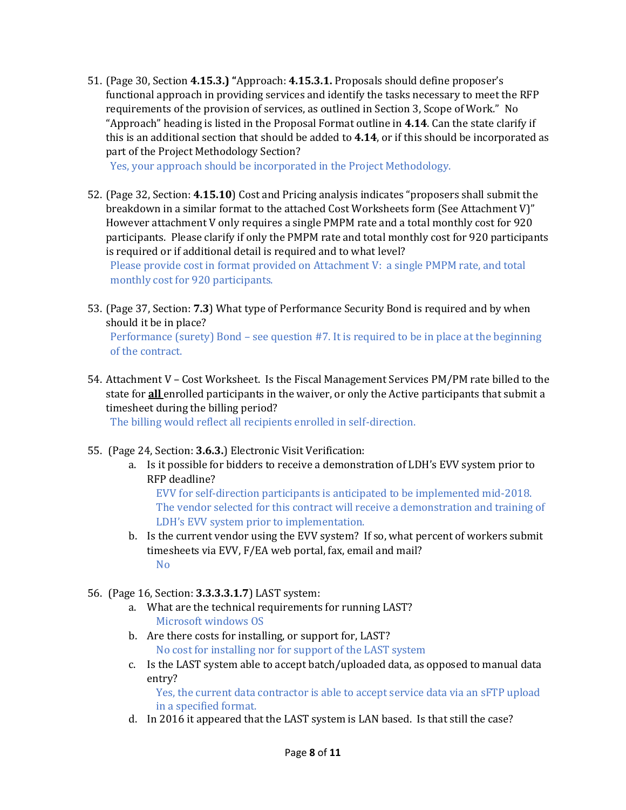51. (Page 30, Section **4.15.3.) "**Approach: **4.15.3.1.** Proposals should define proposer's functional approach in providing services and identify the tasks necessary to meet the RFP requirements of the provision of services, as outlined in Section 3, Scope of Work." No "Approach" heading is listed in the Proposal Format outline in **4.14**. Can the state clarify if this is an additional section that should be added to **4.14**, or if this should be incorporated as part of the Project Methodology Section?

Yes, your approach should be incorporated in the Project Methodology.

52. (Page 32, Section: **4.15.10**) Cost and Pricing analysis indicates "proposers shall submit the breakdown in a similar format to the attached Cost Worksheets form (See Attachment V)" However attachment V only requires a single PMPM rate and a total monthly cost for 920 participants. Please clarify if only the PMPM rate and total monthly cost for 920 participants is required or if additional detail is required and to what level?

Please provide cost in format provided on Attachment V: a single PMPM rate, and total monthly cost for 920 participants.

53. (Page 37, Section: **7.3**) What type of Performance Security Bond is required and by when should it be in place?

Performance (surety) Bond – see question #7. It is required to be in place at the beginning of the contract.

54. Attachment V – Cost Worksheet. Is the Fiscal Management Services PM/PM rate billed to the state for **all** enrolled participants in the waiver, or only the Active participants that submit a timesheet during the billing period?

The billing would reflect all recipients enrolled in self-direction.

- 55. (Page 24, Section: **3.6.3.**) Electronic Visit Verification:
	- a. Is it possible for bidders to receive a demonstration of LDH's EVV system prior to RFP deadline?

EVV for self-direction participants is anticipated to be implemented mid-2018. The vendor selected for this contract will receive a demonstration and training of LDH's EVV system prior to implementation.

- b. Is the current vendor using the EVV system? If so, what percent of workers submit timesheets via EVV, F/EA web portal, fax, email and mail? No
- 56. (Page 16, Section: **3.3.3.3.1.7**) LAST system:
	- a. What are the technical requirements for running LAST? Microsoft windows OS
	- b. Are there costs for installing, or support for, LAST? No cost for installing nor for support of the LAST system
	- c. Is the LAST system able to accept batch/uploaded data, as opposed to manual data entry?

Yes, the current data contractor is able to accept service data via an sFTP upload in a specified format.

d. In 2016 it appeared that the LAST system is LAN based. Is that still the case?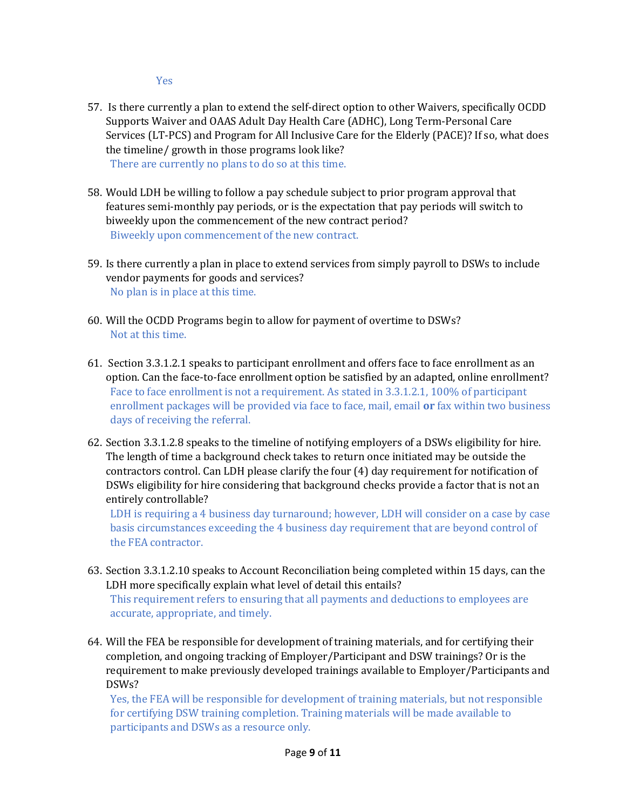Yes

- 57. Is there currently a plan to extend the self-direct option to other Waivers, specifically OCDD Supports Waiver and OAAS Adult Day Health Care (ADHC), Long Term-Personal Care Services (LT-PCS) and Program for All Inclusive Care for the Elderly (PACE)? If so, what does the timeline/ growth in those programs look like? There are currently no plans to do so at this time.
- 58. Would LDH be willing to follow a pay schedule subject to prior program approval that features semi-monthly pay periods, or is the expectation that pay periods will switch to biweekly upon the commencement of the new contract period? Biweekly upon commencement of the new contract.
- 59. Is there currently a plan in place to extend services from simply payroll to DSWs to include vendor payments for goods and services? No plan is in place at this time.
- 60. Will the OCDD Programs begin to allow for payment of overtime to DSWs? Not at this time.
- 61. Section 3.3.1.2.1 speaks to participant enrollment and offers face to face enrollment as an option. Can the face-to-face enrollment option be satisfied by an adapted, online enrollment? Face to face enrollment is not a requirement. As stated in 3.3.1.2.1, 100% of participant enrollment packages will be provided via face to face, mail, email **or** fax within two business days of receiving the referral.
- 62. Section 3.3.1.2.8 speaks to the timeline of notifying employers of a DSWs eligibility for hire. The length of time a background check takes to return once initiated may be outside the contractors control. Can LDH please clarify the four (4) day requirement for notification of DSWs eligibility for hire considering that background checks provide a factor that is not an entirely controllable?

LDH is requiring a 4 business day turnaround; however, LDH will consider on a case by case basis circumstances exceeding the 4 business day requirement that are beyond control of the FEA contractor.

- 63. Section 3.3.1.2.10 speaks to Account Reconciliation being completed within 15 days, can the LDH more specifically explain what level of detail this entails? This requirement refers to ensuring that all payments and deductions to employees are accurate, appropriate, and timely.
- 64. Will the FEA be responsible for development of training materials, and for certifying their completion, and ongoing tracking of Employer/Participant and DSW trainings? Or is the requirement to make previously developed trainings available to Employer/Participants and DSWs?

Yes, the FEA will be responsible for development of training materials, but not responsible for certifying DSW training completion. Training materials will be made available to participants and DSWs as a resource only.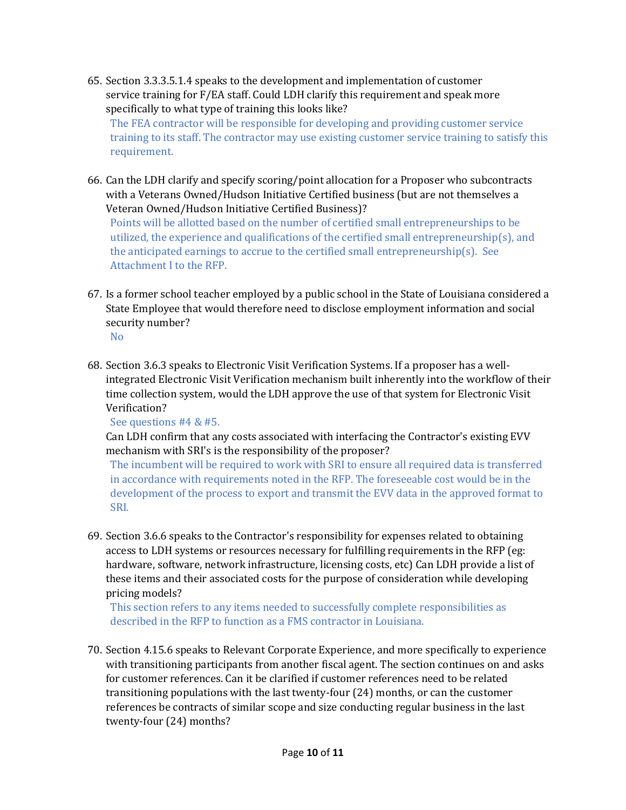- 65. Section 3.3.3.5.1.4 speaks to the development and implementation of customer service training for F/EA staff. Could LDH clarify this requirement and speak more specifically to what type of training this looks like? The FEA contractor will be responsible for developing and providing customer service training to its staff. The contractor may use existing customer service training to satisfy this requirement.
- 66. Can the LDH clarify and specify scoring/point allocation for a Proposer who subcontracts with a Veterans Owned/Hudson Initiative Certified business (but are not themselves a Veteran Owned/Hudson Initiative Certified Business)?

Points will be allotted based on the number of certified small entrepreneurships to be utilized, the experience and qualifications of the certified small entrepreneurship(s), and the anticipated earnings to accrue to the certified small entrepreneurship(s). See Attachment I to the RFP.

67. Is a former school teacher employed by a public school in the State of Louisiana considered a State Employee that would therefore need to disclose employment information and social security number?

No

68. Section 3.6.3 speaks to Electronic Visit Verification Systems. If a proposer has a wellintegrated Electronic Visit Verification mechanism built inherently into the workflow of their time collection system, would the LDH approve the use of that system for Electronic Visit Verification?

See questions #4 & #5.

Can LDH confirm that any costs associated with interfacing the Contractor's existing EVV mechanism with SRI's is the responsibility of the proposer?

The incumbent will be required to work with SRI to ensure all required data is transferred in accordance with requirements noted in the RFP. The foreseeable cost would be in the development of the process to export and transmit the EVV data in the approved format to SRI.

69. Section 3.6.6 speaks to the Contractor's responsibility for expenses related to obtaining access to LDH systems or resources necessary for fulfilling requirements in the RFP (eg: hardware, software, network infrastructure, licensing costs, etc) Can LDH provide a list of these items and their associated costs for the purpose of consideration while developing pricing models?

This section refers to any items needed to successfully complete responsibilities as described in the RFP to function as a FMS contractor in Louisiana.

70. Section 4.15.6 speaks to Relevant Corporate Experience, and more specifically to experience with transitioning participants from another fiscal agent. The section continues on and asks for customer references. Can it be clarified if customer references need to be related transitioning populations with the last twenty-four (24) months, or can the customer references be contracts of similar scope and size conducting regular business in the last twenty-four (24) months?